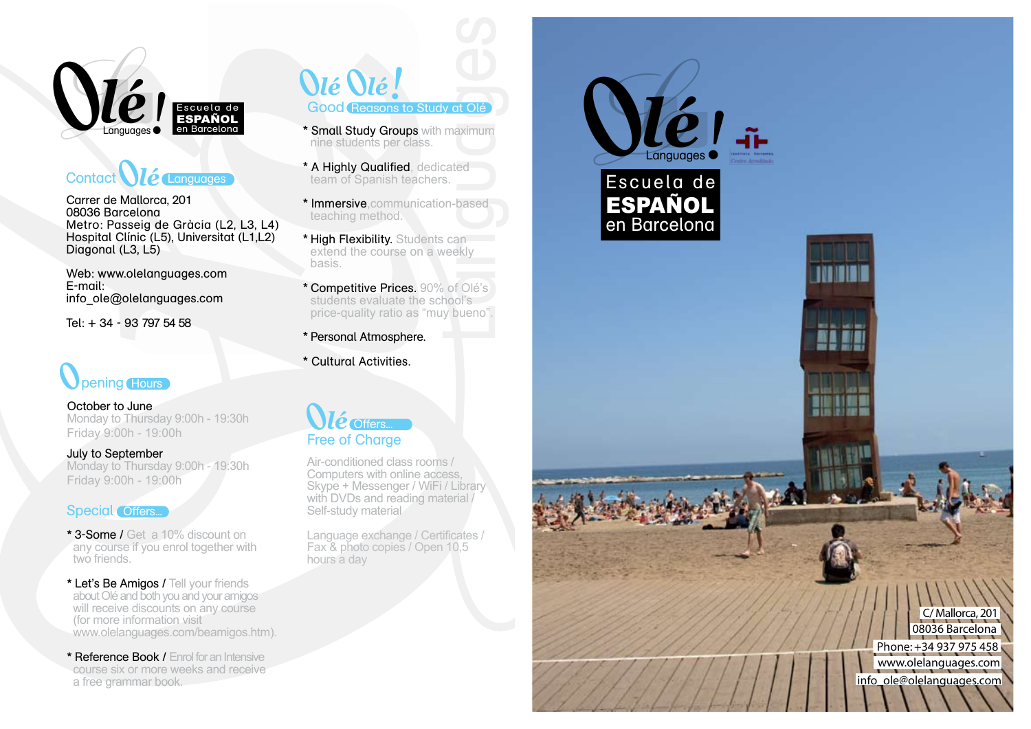

Carrer de Mallorca, 201 08036 Barcelona Metro: Passeig de Gràcia (L2, L3, L4) Hospital Clínic (L5), Universitat (L1,L2) Diagonal (L3, L5)

Web: www.olelanguage s.com E-mail: info\_ole@ olelanguage s.com

Tel: + 34 - 93 797 54 58

October to June Monday to Thursday 9:00h - 19:30 h Friday 9:00h - 19:00h

July to September Monday to Thursday 9:00h - 19:30 h **Spening Hours<br>
Detober to June**<br>
Monday to Thursday 9:<br>
Friday 9:00h - 19:00h<br> **July to September**<br>
Monday to Thursday 9:<br>
Friday 9:00h - 19:00h

# Special Offers...

- \* 3 -Some / Get a 10% discount on any course if you enrol together with two friends.
- \* Let's Be Amigos / Tell your friends about Olé and both you and your amigos will receive discounts on any course<br>(for more information visit) www.olelanguages.com/beamigos.htm).
- \* Reference Book / Enrol for an Intensive course six or more weeks and receive a free grammar book.
- *<u>Olé <i>Olé!*</u>
- **\*** Small Study G roups with maximum nine students per class .
- **\*** A Highly Qualified , dedicated team of Spanish teachers.
- **\*** Imme rsive ,communication-based teaching method.
- **\*** High Flexibilit y. Students can extend the course on a weekly basis.
- Good Reasons to Study at Olé<br>
Small Study Groups with maximun<br>
nine students per class.<br>
A Highly Qualified, dedicated<br>
team of Spanish teachers.<br>
Immersive, communication-based<br>
teaching method.<br>
High Flexibility. Student **\*** Competitive Price s. 90% of Olé 's students evaluate the school 's price-quality ratio as "muy bueno".
- **\***  P e rsonal Atmosphe re.
- **\*** Cultu ral Activitie s.

# $O$ *lé* Offers...

Air-conditioned class rooms / Computers with online access, Skype + Messenger / WiFi / Library with DVDs and reading material Self-study material

Language exchange / Certificates / Fax & photo copies / Open 10,5 hours a da y